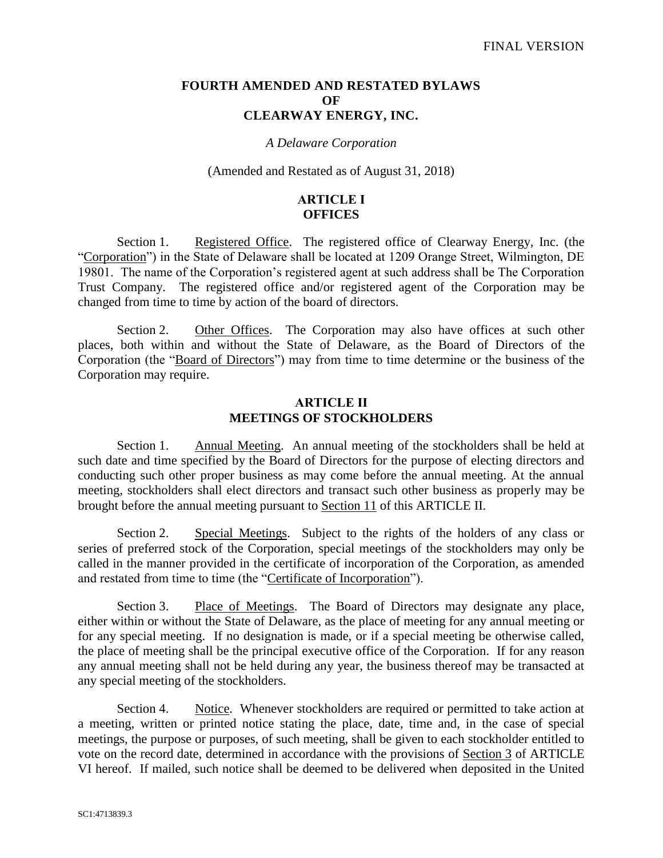### **FOURTH AMENDED AND RESTATED BYLAWS OF CLEARWAY ENERGY, INC.**

### *A Delaware Corporation*

#### (Amended and Restated as of August 31, 2018)

### **ARTICLE I OFFICES**

Section 1. Registered Office. The registered office of Clearway Energy, Inc. (the "Corporation") in the State of Delaware shall be located at 1209 Orange Street, Wilmington, DE 19801. The name of the Corporation's registered agent at such address shall be The Corporation Trust Company. The registered office and/or registered agent of the Corporation may be changed from time to time by action of the board of directors.

Section 2. Other Offices. The Corporation may also have offices at such other places, both within and without the State of Delaware, as the Board of Directors of the Corporation (the "Board of Directors") may from time to time determine or the business of the Corporation may require.

### **ARTICLE II MEETINGS OF STOCKHOLDERS**

Section 1. Annual Meeting. An annual meeting of the stockholders shall be held at such date and time specified by the Board of Directors for the purpose of electing directors and conducting such other proper business as may come before the annual meeting. At the annual meeting, stockholders shall elect directors and transact such other business as properly may be brought before the annual meeting pursuant to Section 11 of this ARTICLE II.

Section 2. Special Meetings. Subject to the rights of the holders of any class or series of preferred stock of the Corporation, special meetings of the stockholders may only be called in the manner provided in the certificate of incorporation of the Corporation, as amended and restated from time to time (the "Certificate of Incorporation").

Section 3. Place of Meetings. The Board of Directors may designate any place, either within or without the State of Delaware, as the place of meeting for any annual meeting or for any special meeting. If no designation is made, or if a special meeting be otherwise called, the place of meeting shall be the principal executive office of the Corporation. If for any reason any annual meeting shall not be held during any year, the business thereof may be transacted at any special meeting of the stockholders.

Section 4. Notice. Whenever stockholders are required or permitted to take action at a meeting, written or printed notice stating the place, date, time and, in the case of special meetings, the purpose or purposes, of such meeting, shall be given to each stockholder entitled to vote on the record date, determined in accordance with the provisions of Section 3 of ARTICLE VI hereof. If mailed, such notice shall be deemed to be delivered when deposited in the United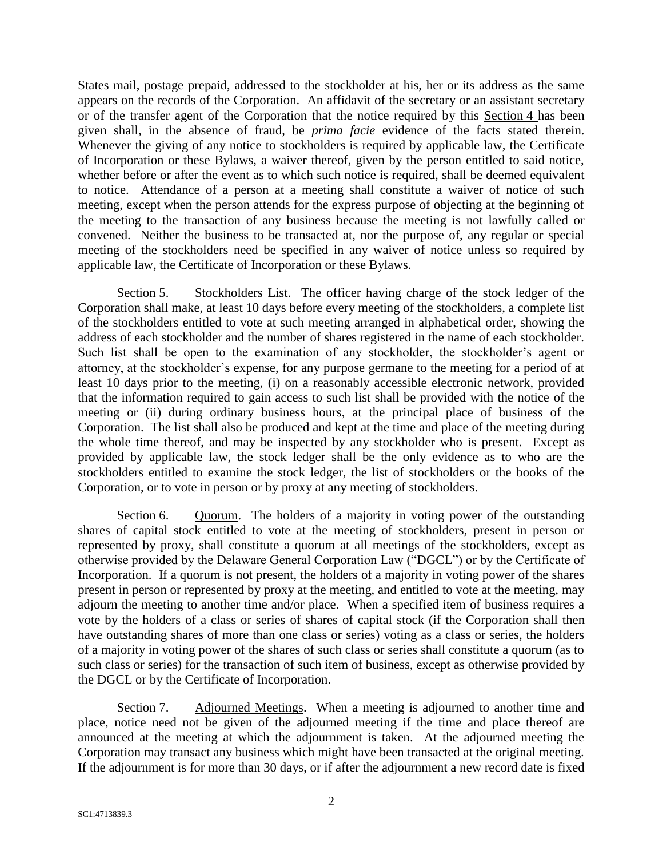States mail, postage prepaid, addressed to the stockholder at his, her or its address as the same appears on the records of the Corporation. An affidavit of the secretary or an assistant secretary or of the transfer agent of the Corporation that the notice required by this Section 4 has been given shall, in the absence of fraud, be *prima facie* evidence of the facts stated therein. Whenever the giving of any notice to stockholders is required by applicable law, the Certificate of Incorporation or these Bylaws, a waiver thereof, given by the person entitled to said notice, whether before or after the event as to which such notice is required, shall be deemed equivalent to notice. Attendance of a person at a meeting shall constitute a waiver of notice of such meeting, except when the person attends for the express purpose of objecting at the beginning of the meeting to the transaction of any business because the meeting is not lawfully called or convened. Neither the business to be transacted at, nor the purpose of, any regular or special meeting of the stockholders need be specified in any waiver of notice unless so required by applicable law, the Certificate of Incorporation or these Bylaws.

Section 5. Stockholders List. The officer having charge of the stock ledger of the Corporation shall make, at least 10 days before every meeting of the stockholders, a complete list of the stockholders entitled to vote at such meeting arranged in alphabetical order, showing the address of each stockholder and the number of shares registered in the name of each stockholder. Such list shall be open to the examination of any stockholder, the stockholder's agent or attorney, at the stockholder's expense, for any purpose germane to the meeting for a period of at least 10 days prior to the meeting, (i) on a reasonably accessible electronic network, provided that the information required to gain access to such list shall be provided with the notice of the meeting or (ii) during ordinary business hours, at the principal place of business of the Corporation. The list shall also be produced and kept at the time and place of the meeting during the whole time thereof, and may be inspected by any stockholder who is present. Except as provided by applicable law, the stock ledger shall be the only evidence as to who are the stockholders entitled to examine the stock ledger, the list of stockholders or the books of the Corporation, or to vote in person or by proxy at any meeting of stockholders.

Section 6. Quorum. The holders of a majority in voting power of the outstanding shares of capital stock entitled to vote at the meeting of stockholders, present in person or represented by proxy, shall constitute a quorum at all meetings of the stockholders, except as otherwise provided by the Delaware General Corporation Law ("DGCL") or by the Certificate of Incorporation. If a quorum is not present, the holders of a majority in voting power of the shares present in person or represented by proxy at the meeting, and entitled to vote at the meeting, may adjourn the meeting to another time and/or place. When a specified item of business requires a vote by the holders of a class or series of shares of capital stock (if the Corporation shall then have outstanding shares of more than one class or series) voting as a class or series, the holders of a majority in voting power of the shares of such class or series shall constitute a quorum (as to such class or series) for the transaction of such item of business, except as otherwise provided by the DGCL or by the Certificate of Incorporation.

Section 7. Adjourned Meetings. When a meeting is adjourned to another time and place, notice need not be given of the adjourned meeting if the time and place thereof are announced at the meeting at which the adjournment is taken. At the adjourned meeting the Corporation may transact any business which might have been transacted at the original meeting. If the adjournment is for more than 30 days, or if after the adjournment a new record date is fixed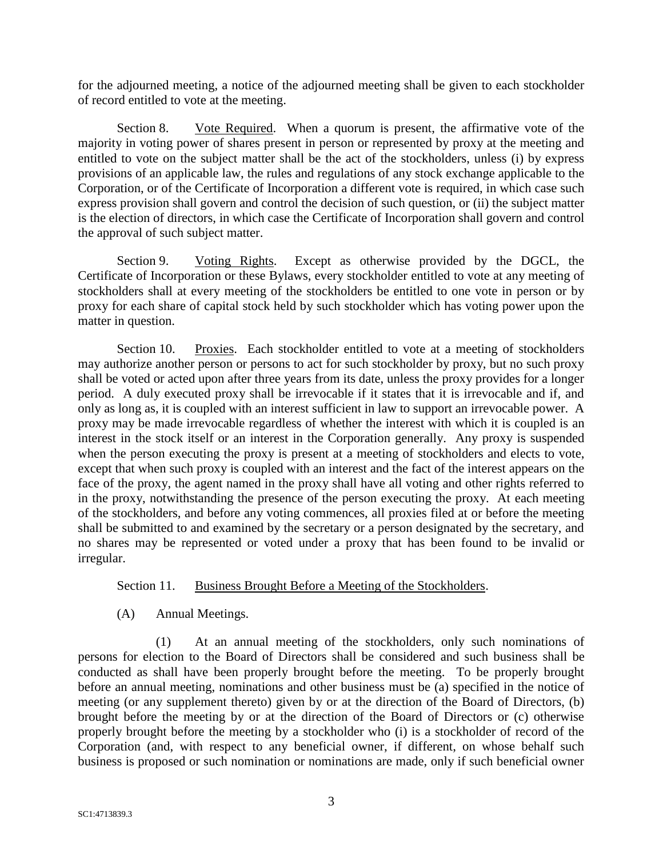for the adjourned meeting, a notice of the adjourned meeting shall be given to each stockholder of record entitled to vote at the meeting.

Section 8. Vote Required. When a quorum is present, the affirmative vote of the majority in voting power of shares present in person or represented by proxy at the meeting and entitled to vote on the subject matter shall be the act of the stockholders, unless (i) by express provisions of an applicable law, the rules and regulations of any stock exchange applicable to the Corporation, or of the Certificate of Incorporation a different vote is required, in which case such express provision shall govern and control the decision of such question, or (ii) the subject matter is the election of directors, in which case the Certificate of Incorporation shall govern and control the approval of such subject matter.

Section 9. Voting Rights. Except as otherwise provided by the DGCL, the Certificate of Incorporation or these Bylaws, every stockholder entitled to vote at any meeting of stockholders shall at every meeting of the stockholders be entitled to one vote in person or by proxy for each share of capital stock held by such stockholder which has voting power upon the matter in question.

Section 10. Proxies. Each stockholder entitled to vote at a meeting of stockholders may authorize another person or persons to act for such stockholder by proxy, but no such proxy shall be voted or acted upon after three years from its date, unless the proxy provides for a longer period. A duly executed proxy shall be irrevocable if it states that it is irrevocable and if, and only as long as, it is coupled with an interest sufficient in law to support an irrevocable power. A proxy may be made irrevocable regardless of whether the interest with which it is coupled is an interest in the stock itself or an interest in the Corporation generally. Any proxy is suspended when the person executing the proxy is present at a meeting of stockholders and elects to vote, except that when such proxy is coupled with an interest and the fact of the interest appears on the face of the proxy, the agent named in the proxy shall have all voting and other rights referred to in the proxy, notwithstanding the presence of the person executing the proxy. At each meeting of the stockholders, and before any voting commences, all proxies filed at or before the meeting shall be submitted to and examined by the secretary or a person designated by the secretary, and no shares may be represented or voted under a proxy that has been found to be invalid or irregular.

# Section 11. Business Brought Before a Meeting of the Stockholders.

(A) Annual Meetings.

(1) At an annual meeting of the stockholders, only such nominations of persons for election to the Board of Directors shall be considered and such business shall be conducted as shall have been properly brought before the meeting. To be properly brought before an annual meeting, nominations and other business must be (a) specified in the notice of meeting (or any supplement thereto) given by or at the direction of the Board of Directors, (b) brought before the meeting by or at the direction of the Board of Directors or (c) otherwise properly brought before the meeting by a stockholder who (i) is a stockholder of record of the Corporation (and, with respect to any beneficial owner, if different, on whose behalf such business is proposed or such nomination or nominations are made, only if such beneficial owner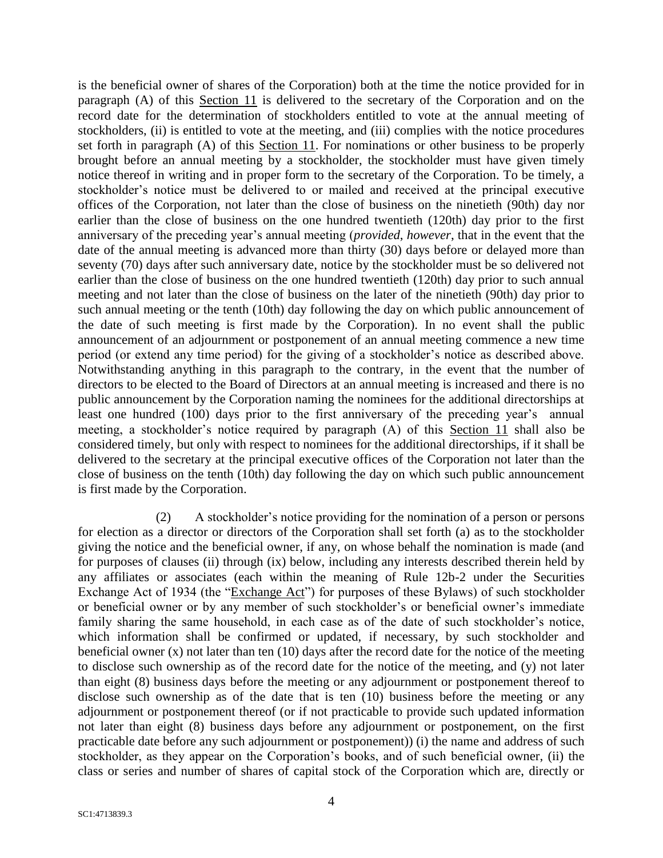is the beneficial owner of shares of the Corporation) both at the time the notice provided for in paragraph (A) of this Section 11 is delivered to the secretary of the Corporation and on the record date for the determination of stockholders entitled to vote at the annual meeting of stockholders, (ii) is entitled to vote at the meeting, and (iii) complies with the notice procedures set forth in paragraph (A) of this Section 11. For nominations or other business to be properly brought before an annual meeting by a stockholder, the stockholder must have given timely notice thereof in writing and in proper form to the secretary of the Corporation. To be timely, a stockholder's notice must be delivered to or mailed and received at the principal executive offices of the Corporation, not later than the close of business on the ninetieth (90th) day nor earlier than the close of business on the one hundred twentieth (120th) day prior to the first anniversary of the preceding year's annual meeting (*provided*, *however*, that in the event that the date of the annual meeting is advanced more than thirty (30) days before or delayed more than seventy (70) days after such anniversary date, notice by the stockholder must be so delivered not earlier than the close of business on the one hundred twentieth (120th) day prior to such annual meeting and not later than the close of business on the later of the ninetieth (90th) day prior to such annual meeting or the tenth (10th) day following the day on which public announcement of the date of such meeting is first made by the Corporation). In no event shall the public announcement of an adjournment or postponement of an annual meeting commence a new time period (or extend any time period) for the giving of a stockholder's notice as described above. Notwithstanding anything in this paragraph to the contrary, in the event that the number of directors to be elected to the Board of Directors at an annual meeting is increased and there is no public announcement by the Corporation naming the nominees for the additional directorships at least one hundred (100) days prior to the first anniversary of the preceding year's annual meeting, a stockholder's notice required by paragraph (A) of this Section 11 shall also be considered timely, but only with respect to nominees for the additional directorships, if it shall be delivered to the secretary at the principal executive offices of the Corporation not later than the close of business on the tenth (10th) day following the day on which such public announcement is first made by the Corporation.

(2) A stockholder's notice providing for the nomination of a person or persons for election as a director or directors of the Corporation shall set forth (a) as to the stockholder giving the notice and the beneficial owner, if any, on whose behalf the nomination is made (and for purposes of clauses (ii) through (ix) below, including any interests described therein held by any affiliates or associates (each within the meaning of Rule 12b-2 under the Securities Exchange Act of 1934 (the "Exchange Act") for purposes of these Bylaws) of such stockholder or beneficial owner or by any member of such stockholder's or beneficial owner's immediate family sharing the same household, in each case as of the date of such stockholder's notice, which information shall be confirmed or updated, if necessary, by such stockholder and beneficial owner  $(x)$  not later than ten (10) days after the record date for the notice of the meeting to disclose such ownership as of the record date for the notice of the meeting, and (y) not later than eight (8) business days before the meeting or any adjournment or postponement thereof to disclose such ownership as of the date that is ten (10) business before the meeting or any adjournment or postponement thereof (or if not practicable to provide such updated information not later than eight (8) business days before any adjournment or postponement, on the first practicable date before any such adjournment or postponement)) (i) the name and address of such stockholder, as they appear on the Corporation's books, and of such beneficial owner, (ii) the class or series and number of shares of capital stock of the Corporation which are, directly or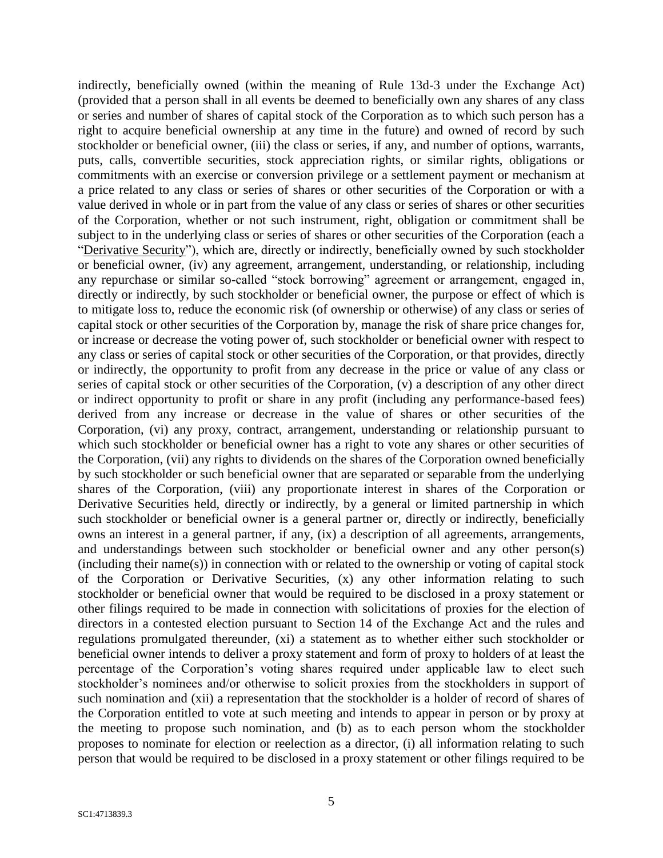indirectly, beneficially owned (within the meaning of Rule 13d-3 under the Exchange Act) (provided that a person shall in all events be deemed to beneficially own any shares of any class or series and number of shares of capital stock of the Corporation as to which such person has a right to acquire beneficial ownership at any time in the future) and owned of record by such stockholder or beneficial owner, (iii) the class or series, if any, and number of options, warrants, puts, calls, convertible securities, stock appreciation rights, or similar rights, obligations or commitments with an exercise or conversion privilege or a settlement payment or mechanism at a price related to any class or series of shares or other securities of the Corporation or with a value derived in whole or in part from the value of any class or series of shares or other securities of the Corporation, whether or not such instrument, right, obligation or commitment shall be subject to in the underlying class or series of shares or other securities of the Corporation (each a "Derivative Security"), which are, directly or indirectly, beneficially owned by such stockholder or beneficial owner, (iv) any agreement, arrangement, understanding, or relationship, including any repurchase or similar so-called "stock borrowing" agreement or arrangement, engaged in, directly or indirectly, by such stockholder or beneficial owner, the purpose or effect of which is to mitigate loss to, reduce the economic risk (of ownership or otherwise) of any class or series of capital stock or other securities of the Corporation by, manage the risk of share price changes for, or increase or decrease the voting power of, such stockholder or beneficial owner with respect to any class or series of capital stock or other securities of the Corporation, or that provides, directly or indirectly, the opportunity to profit from any decrease in the price or value of any class or series of capital stock or other securities of the Corporation, (v) a description of any other direct or indirect opportunity to profit or share in any profit (including any performance-based fees) derived from any increase or decrease in the value of shares or other securities of the Corporation, (vi) any proxy, contract, arrangement, understanding or relationship pursuant to which such stockholder or beneficial owner has a right to vote any shares or other securities of the Corporation, (vii) any rights to dividends on the shares of the Corporation owned beneficially by such stockholder or such beneficial owner that are separated or separable from the underlying shares of the Corporation, (viii) any proportionate interest in shares of the Corporation or Derivative Securities held, directly or indirectly, by a general or limited partnership in which such stockholder or beneficial owner is a general partner or, directly or indirectly, beneficially owns an interest in a general partner, if any, (ix) a description of all agreements, arrangements, and understandings between such stockholder or beneficial owner and any other person(s) (including their name(s)) in connection with or related to the ownership or voting of capital stock of the Corporation or Derivative Securities, (x) any other information relating to such stockholder or beneficial owner that would be required to be disclosed in a proxy statement or other filings required to be made in connection with solicitations of proxies for the election of directors in a contested election pursuant to Section 14 of the Exchange Act and the rules and regulations promulgated thereunder, (xi) a statement as to whether either such stockholder or beneficial owner intends to deliver a proxy statement and form of proxy to holders of at least the percentage of the Corporation's voting shares required under applicable law to elect such stockholder's nominees and/or otherwise to solicit proxies from the stockholders in support of such nomination and (xii) a representation that the stockholder is a holder of record of shares of the Corporation entitled to vote at such meeting and intends to appear in person or by proxy at the meeting to propose such nomination, and (b) as to each person whom the stockholder proposes to nominate for election or reelection as a director, (i) all information relating to such person that would be required to be disclosed in a proxy statement or other filings required to be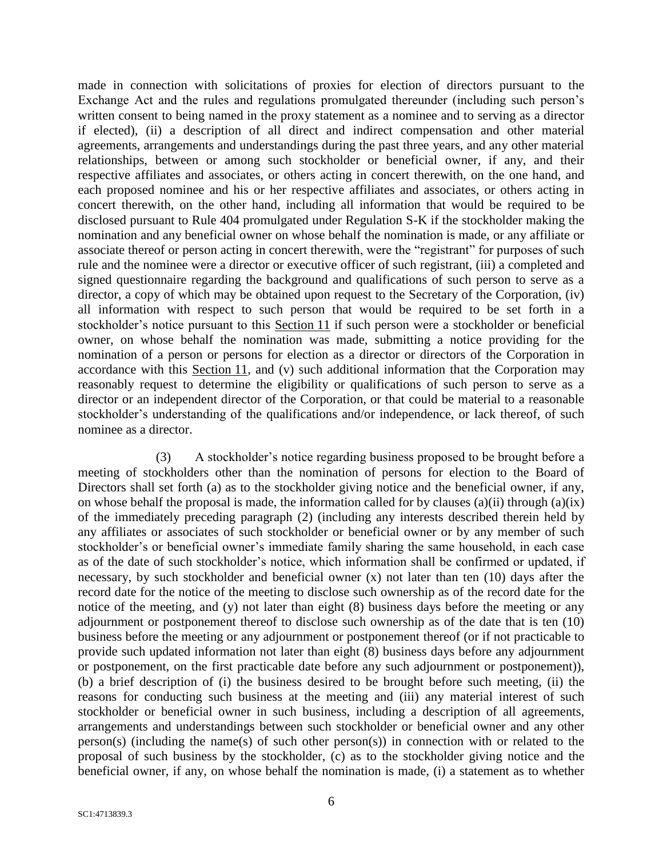made in connection with solicitations of proxies for election of directors pursuant to the Exchange Act and the rules and regulations promulgated thereunder (including such person's written consent to being named in the proxy statement as a nominee and to serving as a director if elected), (ii) a description of all direct and indirect compensation and other material agreements, arrangements and understandings during the past three years, and any other material relationships, between or among such stockholder or beneficial owner, if any, and their respective affiliates and associates, or others acting in concert therewith, on the one hand, and each proposed nominee and his or her respective affiliates and associates, or others acting in concert therewith, on the other hand, including all information that would be required to be disclosed pursuant to Rule 404 promulgated under Regulation S-K if the stockholder making the nomination and any beneficial owner on whose behalf the nomination is made, or any affiliate or associate thereof or person acting in concert therewith, were the "registrant" for purposes of such rule and the nominee were a director or executive officer of such registrant, (iii) a completed and signed questionnaire regarding the background and qualifications of such person to serve as a director, a copy of which may be obtained upon request to the Secretary of the Corporation, (iv) all information with respect to such person that would be required to be set forth in a stockholder's notice pursuant to this Section 11 if such person were a stockholder or beneficial owner, on whose behalf the nomination was made, submitting a notice providing for the nomination of a person or persons for election as a director or directors of the Corporation in accordance with this Section 11, and (v) such additional information that the Corporation may reasonably request to determine the eligibility or qualifications of such person to serve as a director or an independent director of the Corporation, or that could be material to a reasonable stockholder's understanding of the qualifications and/or independence, or lack thereof, of such nominee as a director.

(3) A stockholder's notice regarding business proposed to be brought before a meeting of stockholders other than the nomination of persons for election to the Board of Directors shall set forth (a) as to the stockholder giving notice and the beneficial owner, if any, on whose behalf the proposal is made, the information called for by clauses (a)(ii) through (a)(ix) of the immediately preceding paragraph (2) (including any interests described therein held by any affiliates or associates of such stockholder or beneficial owner or by any member of such stockholder's or beneficial owner's immediate family sharing the same household, in each case as of the date of such stockholder's notice, which information shall be confirmed or updated, if necessary, by such stockholder and beneficial owner (x) not later than ten (10) days after the record date for the notice of the meeting to disclose such ownership as of the record date for the notice of the meeting, and (y) not later than eight (8) business days before the meeting or any adjournment or postponement thereof to disclose such ownership as of the date that is ten (10) business before the meeting or any adjournment or postponement thereof (or if not practicable to provide such updated information not later than eight (8) business days before any adjournment or postponement, on the first practicable date before any such adjournment or postponement)), (b) a brief description of (i) the business desired to be brought before such meeting, (ii) the reasons for conducting such business at the meeting and (iii) any material interest of such stockholder or beneficial owner in such business, including a description of all agreements, arrangements and understandings between such stockholder or beneficial owner and any other person(s) (including the name(s) of such other person(s)) in connection with or related to the proposal of such business by the stockholder, (c) as to the stockholder giving notice and the beneficial owner, if any, on whose behalf the nomination is made, (i) a statement as to whether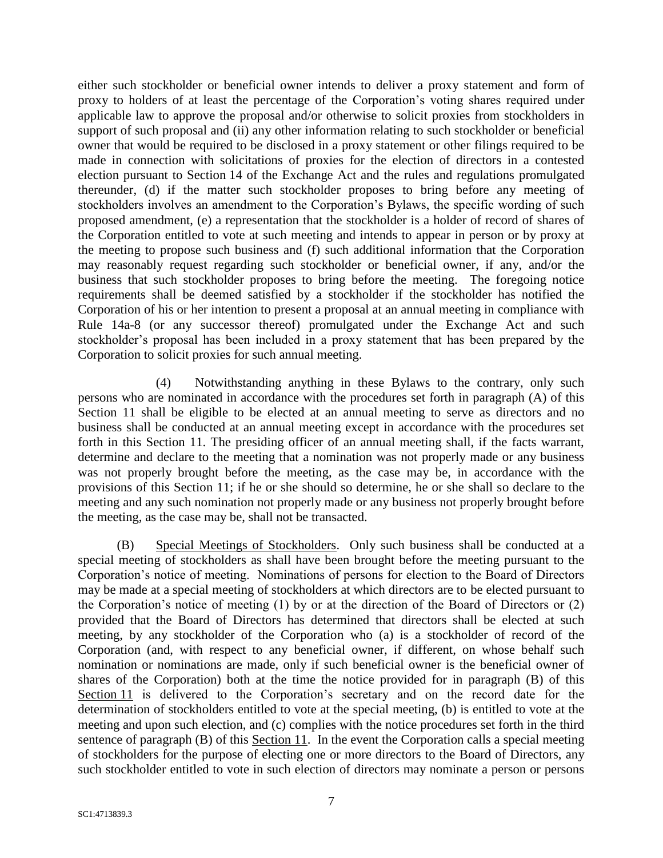either such stockholder or beneficial owner intends to deliver a proxy statement and form of proxy to holders of at least the percentage of the Corporation's voting shares required under applicable law to approve the proposal and/or otherwise to solicit proxies from stockholders in support of such proposal and (ii) any other information relating to such stockholder or beneficial owner that would be required to be disclosed in a proxy statement or other filings required to be made in connection with solicitations of proxies for the election of directors in a contested election pursuant to Section 14 of the Exchange Act and the rules and regulations promulgated thereunder, (d) if the matter such stockholder proposes to bring before any meeting of stockholders involves an amendment to the Corporation's Bylaws, the specific wording of such proposed amendment, (e) a representation that the stockholder is a holder of record of shares of the Corporation entitled to vote at such meeting and intends to appear in person or by proxy at the meeting to propose such business and (f) such additional information that the Corporation may reasonably request regarding such stockholder or beneficial owner, if any, and/or the business that such stockholder proposes to bring before the meeting. The foregoing notice requirements shall be deemed satisfied by a stockholder if the stockholder has notified the Corporation of his or her intention to present a proposal at an annual meeting in compliance with Rule 14a-8 (or any successor thereof) promulgated under the Exchange Act and such stockholder's proposal has been included in a proxy statement that has been prepared by the Corporation to solicit proxies for such annual meeting.

(4) Notwithstanding anything in these Bylaws to the contrary, only such persons who are nominated in accordance with the procedures set forth in paragraph (A) of this Section 11 shall be eligible to be elected at an annual meeting to serve as directors and no business shall be conducted at an annual meeting except in accordance with the procedures set forth in this Section 11. The presiding officer of an annual meeting shall, if the facts warrant, determine and declare to the meeting that a nomination was not properly made or any business was not properly brought before the meeting, as the case may be, in accordance with the provisions of this Section 11; if he or she should so determine, he or she shall so declare to the meeting and any such nomination not properly made or any business not properly brought before the meeting, as the case may be, shall not be transacted.

(B) Special Meetings of Stockholders. Only such business shall be conducted at a special meeting of stockholders as shall have been brought before the meeting pursuant to the Corporation's notice of meeting. Nominations of persons for election to the Board of Directors may be made at a special meeting of stockholders at which directors are to be elected pursuant to the Corporation's notice of meeting (1) by or at the direction of the Board of Directors or (2) provided that the Board of Directors has determined that directors shall be elected at such meeting, by any stockholder of the Corporation who (a) is a stockholder of record of the Corporation (and, with respect to any beneficial owner, if different, on whose behalf such nomination or nominations are made, only if such beneficial owner is the beneficial owner of shares of the Corporation) both at the time the notice provided for in paragraph (B) of this Section 11 is delivered to the Corporation's secretary and on the record date for the determination of stockholders entitled to vote at the special meeting, (b) is entitled to vote at the meeting and upon such election, and (c) complies with the notice procedures set forth in the third sentence of paragraph (B) of this Section 11. In the event the Corporation calls a special meeting of stockholders for the purpose of electing one or more directors to the Board of Directors, any such stockholder entitled to vote in such election of directors may nominate a person or persons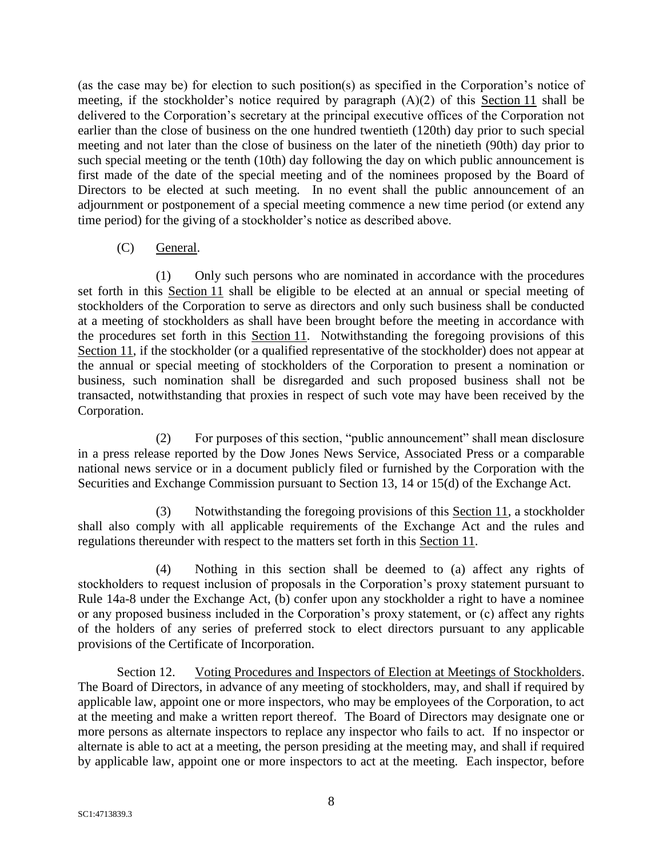(as the case may be) for election to such position(s) as specified in the Corporation's notice of meeting, if the stockholder's notice required by paragraph (A)(2) of this Section 11 shall be delivered to the Corporation's secretary at the principal executive offices of the Corporation not earlier than the close of business on the one hundred twentieth (120th) day prior to such special meeting and not later than the close of business on the later of the ninetieth (90th) day prior to such special meeting or the tenth (10th) day following the day on which public announcement is first made of the date of the special meeting and of the nominees proposed by the Board of Directors to be elected at such meeting. In no event shall the public announcement of an adjournment or postponement of a special meeting commence a new time period (or extend any time period) for the giving of a stockholder's notice as described above.

# (C) General.

(1) Only such persons who are nominated in accordance with the procedures set forth in this Section 11 shall be eligible to be elected at an annual or special meeting of stockholders of the Corporation to serve as directors and only such business shall be conducted at a meeting of stockholders as shall have been brought before the meeting in accordance with the procedures set forth in this Section 11. Notwithstanding the foregoing provisions of this Section 11, if the stockholder (or a qualified representative of the stockholder) does not appear at the annual or special meeting of stockholders of the Corporation to present a nomination or business, such nomination shall be disregarded and such proposed business shall not be transacted, notwithstanding that proxies in respect of such vote may have been received by the Corporation.

(2) For purposes of this section, "public announcement" shall mean disclosure in a press release reported by the Dow Jones News Service, Associated Press or a comparable national news service or in a document publicly filed or furnished by the Corporation with the Securities and Exchange Commission pursuant to Section 13, 14 or 15(d) of the Exchange Act.

(3) Notwithstanding the foregoing provisions of this Section 11, a stockholder shall also comply with all applicable requirements of the Exchange Act and the rules and regulations thereunder with respect to the matters set forth in this Section 11.

(4) Nothing in this section shall be deemed to (a) affect any rights of stockholders to request inclusion of proposals in the Corporation's proxy statement pursuant to Rule 14a-8 under the Exchange Act, (b) confer upon any stockholder a right to have a nominee or any proposed business included in the Corporation's proxy statement, or (c) affect any rights of the holders of any series of preferred stock to elect directors pursuant to any applicable provisions of the Certificate of Incorporation.

Section 12. Voting Procedures and Inspectors of Election at Meetings of Stockholders. The Board of Directors, in advance of any meeting of stockholders, may, and shall if required by applicable law, appoint one or more inspectors, who may be employees of the Corporation, to act at the meeting and make a written report thereof. The Board of Directors may designate one or more persons as alternate inspectors to replace any inspector who fails to act. If no inspector or alternate is able to act at a meeting, the person presiding at the meeting may, and shall if required by applicable law, appoint one or more inspectors to act at the meeting. Each inspector, before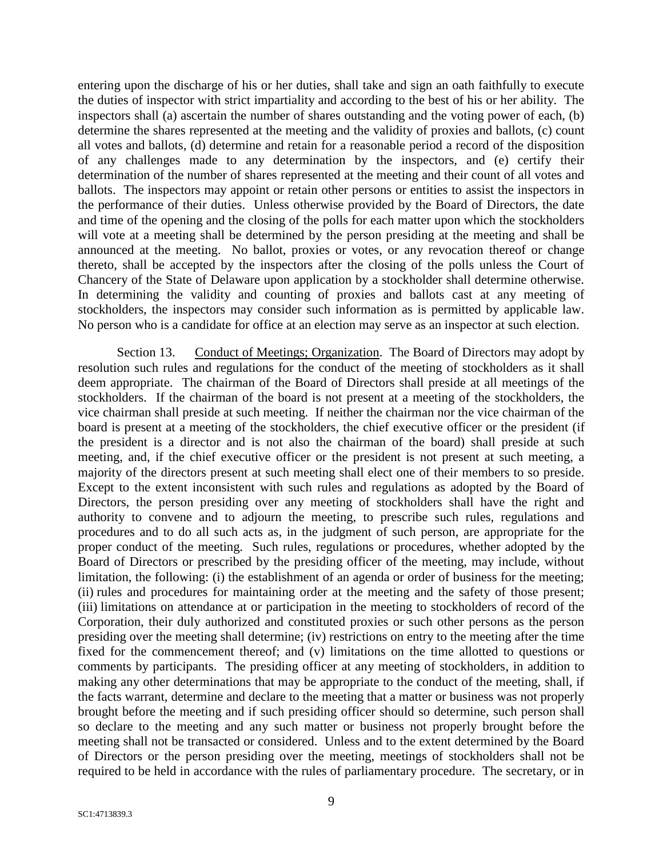entering upon the discharge of his or her duties, shall take and sign an oath faithfully to execute the duties of inspector with strict impartiality and according to the best of his or her ability. The inspectors shall (a) ascertain the number of shares outstanding and the voting power of each, (b) determine the shares represented at the meeting and the validity of proxies and ballots, (c) count all votes and ballots, (d) determine and retain for a reasonable period a record of the disposition of any challenges made to any determination by the inspectors, and (e) certify their determination of the number of shares represented at the meeting and their count of all votes and ballots. The inspectors may appoint or retain other persons or entities to assist the inspectors in the performance of their duties. Unless otherwise provided by the Board of Directors, the date and time of the opening and the closing of the polls for each matter upon which the stockholders will vote at a meeting shall be determined by the person presiding at the meeting and shall be announced at the meeting. No ballot, proxies or votes, or any revocation thereof or change thereto, shall be accepted by the inspectors after the closing of the polls unless the Court of Chancery of the State of Delaware upon application by a stockholder shall determine otherwise. In determining the validity and counting of proxies and ballots cast at any meeting of stockholders, the inspectors may consider such information as is permitted by applicable law. No person who is a candidate for office at an election may serve as an inspector at such election.

Section 13. Conduct of Meetings; Organization. The Board of Directors may adopt by resolution such rules and regulations for the conduct of the meeting of stockholders as it shall deem appropriate. The chairman of the Board of Directors shall preside at all meetings of the stockholders. If the chairman of the board is not present at a meeting of the stockholders, the vice chairman shall preside at such meeting. If neither the chairman nor the vice chairman of the board is present at a meeting of the stockholders, the chief executive officer or the president (if the president is a director and is not also the chairman of the board) shall preside at such meeting, and, if the chief executive officer or the president is not present at such meeting, a majority of the directors present at such meeting shall elect one of their members to so preside. Except to the extent inconsistent with such rules and regulations as adopted by the Board of Directors, the person presiding over any meeting of stockholders shall have the right and authority to convene and to adjourn the meeting, to prescribe such rules, regulations and procedures and to do all such acts as, in the judgment of such person, are appropriate for the proper conduct of the meeting. Such rules, regulations or procedures, whether adopted by the Board of Directors or prescribed by the presiding officer of the meeting, may include, without limitation, the following: (i) the establishment of an agenda or order of business for the meeting; (ii) rules and procedures for maintaining order at the meeting and the safety of those present; (iii) limitations on attendance at or participation in the meeting to stockholders of record of the Corporation, their duly authorized and constituted proxies or such other persons as the person presiding over the meeting shall determine; (iv) restrictions on entry to the meeting after the time fixed for the commencement thereof; and (v) limitations on the time allotted to questions or comments by participants. The presiding officer at any meeting of stockholders, in addition to making any other determinations that may be appropriate to the conduct of the meeting, shall, if the facts warrant, determine and declare to the meeting that a matter or business was not properly brought before the meeting and if such presiding officer should so determine, such person shall so declare to the meeting and any such matter or business not properly brought before the meeting shall not be transacted or considered. Unless and to the extent determined by the Board of Directors or the person presiding over the meeting, meetings of stockholders shall not be required to be held in accordance with the rules of parliamentary procedure. The secretary, or in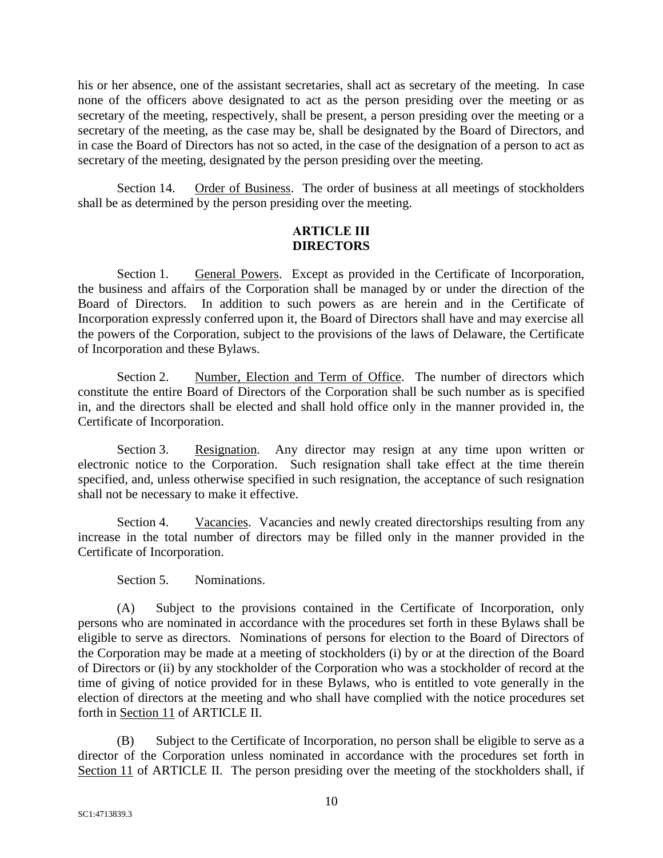his or her absence, one of the assistant secretaries, shall act as secretary of the meeting. In case none of the officers above designated to act as the person presiding over the meeting or as secretary of the meeting, respectively, shall be present, a person presiding over the meeting or a secretary of the meeting, as the case may be, shall be designated by the Board of Directors, and in case the Board of Directors has not so acted, in the case of the designation of a person to act as secretary of the meeting, designated by the person presiding over the meeting.

Section 14. Order of Business. The order of business at all meetings of stockholders shall be as determined by the person presiding over the meeting.

### **ARTICLE III DIRECTORS**

Section 1. General Powers. Except as provided in the Certificate of Incorporation, the business and affairs of the Corporation shall be managed by or under the direction of the Board of Directors. In addition to such powers as are herein and in the Certificate of Incorporation expressly conferred upon it, the Board of Directors shall have and may exercise all the powers of the Corporation, subject to the provisions of the laws of Delaware, the Certificate of Incorporation and these Bylaws.

Section 2. Number, Election and Term of Office. The number of directors which constitute the entire Board of Directors of the Corporation shall be such number as is specified in, and the directors shall be elected and shall hold office only in the manner provided in, the Certificate of Incorporation.

Section 3. Resignation. Any director may resign at any time upon written or electronic notice to the Corporation. Such resignation shall take effect at the time therein specified, and, unless otherwise specified in such resignation, the acceptance of such resignation shall not be necessary to make it effective.

Section 4. Vacancies. Vacancies and newly created directorships resulting from any increase in the total number of directors may be filled only in the manner provided in the Certificate of Incorporation.

Section 5. Nominations.

(A) Subject to the provisions contained in the Certificate of Incorporation, only persons who are nominated in accordance with the procedures set forth in these Bylaws shall be eligible to serve as directors. Nominations of persons for election to the Board of Directors of the Corporation may be made at a meeting of stockholders (i) by or at the direction of the Board of Directors or (ii) by any stockholder of the Corporation who was a stockholder of record at the time of giving of notice provided for in these Bylaws, who is entitled to vote generally in the election of directors at the meeting and who shall have complied with the notice procedures set forth in Section 11 of ARTICLE II.

(B) Subject to the Certificate of Incorporation, no person shall be eligible to serve as a director of the Corporation unless nominated in accordance with the procedures set forth in Section 11 of ARTICLE II. The person presiding over the meeting of the stockholders shall, if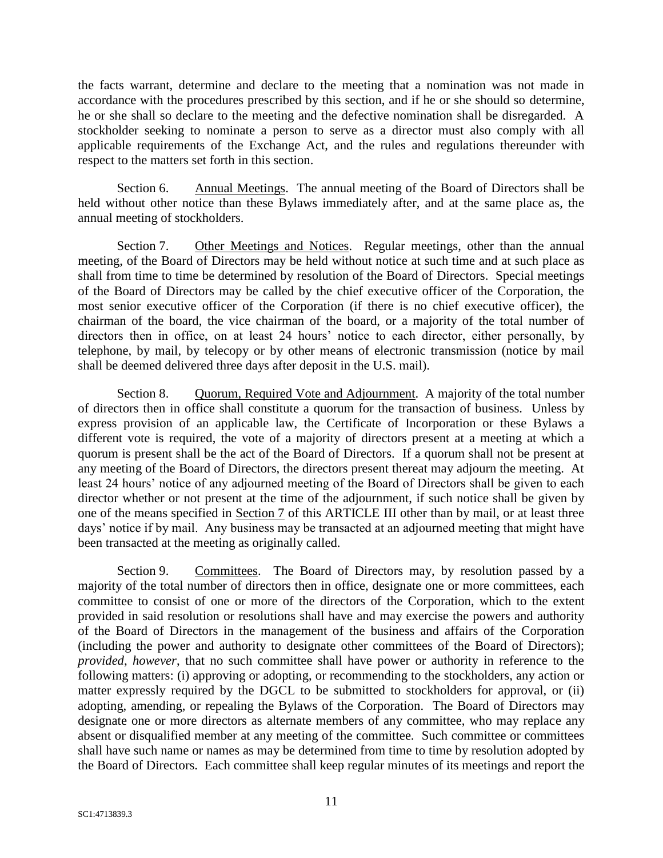the facts warrant, determine and declare to the meeting that a nomination was not made in accordance with the procedures prescribed by this section, and if he or she should so determine, he or she shall so declare to the meeting and the defective nomination shall be disregarded. A stockholder seeking to nominate a person to serve as a director must also comply with all applicable requirements of the Exchange Act, and the rules and regulations thereunder with respect to the matters set forth in this section.

Section 6. Annual Meetings. The annual meeting of the Board of Directors shall be held without other notice than these Bylaws immediately after, and at the same place as, the annual meeting of stockholders.

Section 7. Other Meetings and Notices. Regular meetings, other than the annual meeting, of the Board of Directors may be held without notice at such time and at such place as shall from time to time be determined by resolution of the Board of Directors. Special meetings of the Board of Directors may be called by the chief executive officer of the Corporation, the most senior executive officer of the Corporation (if there is no chief executive officer), the chairman of the board, the vice chairman of the board, or a majority of the total number of directors then in office, on at least 24 hours' notice to each director, either personally, by telephone, by mail, by telecopy or by other means of electronic transmission (notice by mail shall be deemed delivered three days after deposit in the U.S. mail).

Section 8. Quorum, Required Vote and Adjournment. A majority of the total number of directors then in office shall constitute a quorum for the transaction of business. Unless by express provision of an applicable law, the Certificate of Incorporation or these Bylaws a different vote is required, the vote of a majority of directors present at a meeting at which a quorum is present shall be the act of the Board of Directors. If a quorum shall not be present at any meeting of the Board of Directors, the directors present thereat may adjourn the meeting. At least 24 hours' notice of any adjourned meeting of the Board of Directors shall be given to each director whether or not present at the time of the adjournment, if such notice shall be given by one of the means specified in Section 7 of this ARTICLE III other than by mail, or at least three days' notice if by mail. Any business may be transacted at an adjourned meeting that might have been transacted at the meeting as originally called.

Section 9. Committees. The Board of Directors may, by resolution passed by a majority of the total number of directors then in office, designate one or more committees, each committee to consist of one or more of the directors of the Corporation, which to the extent provided in said resolution or resolutions shall have and may exercise the powers and authority of the Board of Directors in the management of the business and affairs of the Corporation (including the power and authority to designate other committees of the Board of Directors); *provided*, *however*, that no such committee shall have power or authority in reference to the following matters: (i) approving or adopting, or recommending to the stockholders, any action or matter expressly required by the DGCL to be submitted to stockholders for approval, or (ii) adopting, amending, or repealing the Bylaws of the Corporation. The Board of Directors may designate one or more directors as alternate members of any committee, who may replace any absent or disqualified member at any meeting of the committee. Such committee or committees shall have such name or names as may be determined from time to time by resolution adopted by the Board of Directors. Each committee shall keep regular minutes of its meetings and report the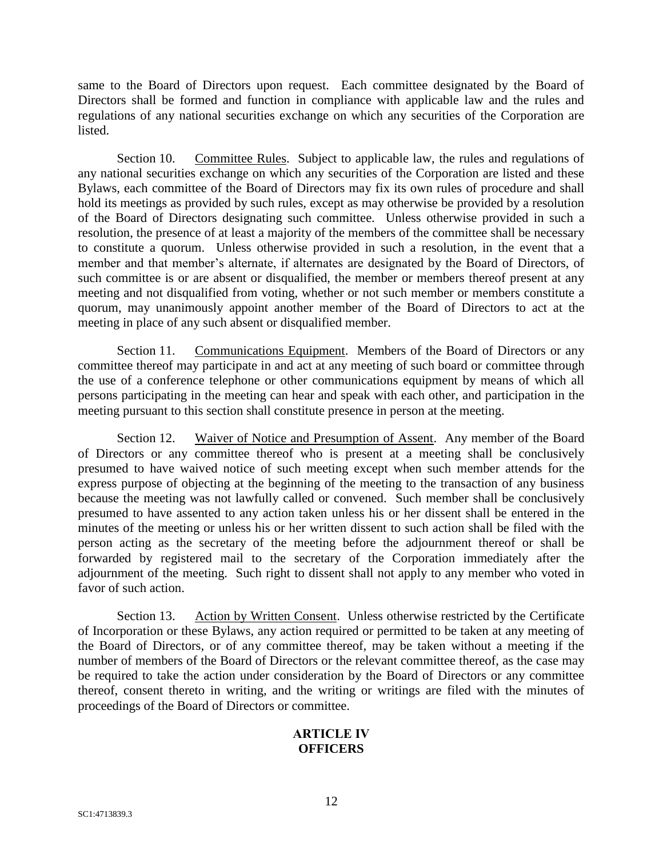same to the Board of Directors upon request. Each committee designated by the Board of Directors shall be formed and function in compliance with applicable law and the rules and regulations of any national securities exchange on which any securities of the Corporation are listed.

Section 10. Committee Rules. Subject to applicable law, the rules and regulations of any national securities exchange on which any securities of the Corporation are listed and these Bylaws, each committee of the Board of Directors may fix its own rules of procedure and shall hold its meetings as provided by such rules, except as may otherwise be provided by a resolution of the Board of Directors designating such committee. Unless otherwise provided in such a resolution, the presence of at least a majority of the members of the committee shall be necessary to constitute a quorum. Unless otherwise provided in such a resolution, in the event that a member and that member's alternate, if alternates are designated by the Board of Directors, of such committee is or are absent or disqualified, the member or members thereof present at any meeting and not disqualified from voting, whether or not such member or members constitute a quorum, may unanimously appoint another member of the Board of Directors to act at the meeting in place of any such absent or disqualified member.

Section 11. Communications Equipment. Members of the Board of Directors or any committee thereof may participate in and act at any meeting of such board or committee through the use of a conference telephone or other communications equipment by means of which all persons participating in the meeting can hear and speak with each other, and participation in the meeting pursuant to this section shall constitute presence in person at the meeting.

Section 12. Waiver of Notice and Presumption of Assent. Any member of the Board of Directors or any committee thereof who is present at a meeting shall be conclusively presumed to have waived notice of such meeting except when such member attends for the express purpose of objecting at the beginning of the meeting to the transaction of any business because the meeting was not lawfully called or convened. Such member shall be conclusively presumed to have assented to any action taken unless his or her dissent shall be entered in the minutes of the meeting or unless his or her written dissent to such action shall be filed with the person acting as the secretary of the meeting before the adjournment thereof or shall be forwarded by registered mail to the secretary of the Corporation immediately after the adjournment of the meeting. Such right to dissent shall not apply to any member who voted in favor of such action.

Section 13. Action by Written Consent. Unless otherwise restricted by the Certificate of Incorporation or these Bylaws, any action required or permitted to be taken at any meeting of the Board of Directors, or of any committee thereof, may be taken without a meeting if the number of members of the Board of Directors or the relevant committee thereof, as the case may be required to take the action under consideration by the Board of Directors or any committee thereof, consent thereto in writing, and the writing or writings are filed with the minutes of proceedings of the Board of Directors or committee.

# **ARTICLE IV OFFICERS**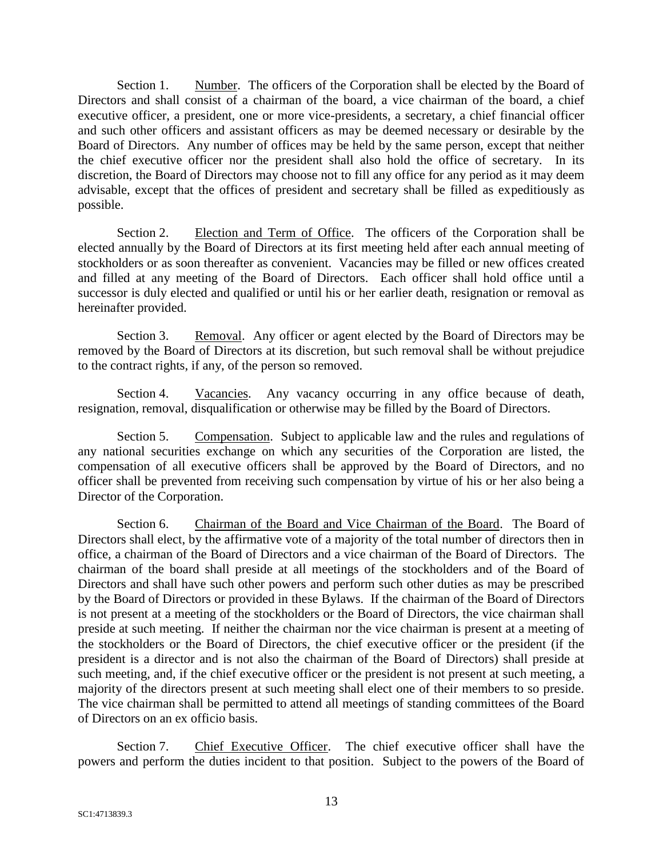Section 1. Number. The officers of the Corporation shall be elected by the Board of Directors and shall consist of a chairman of the board, a vice chairman of the board, a chief executive officer, a president, one or more vice-presidents, a secretary, a chief financial officer and such other officers and assistant officers as may be deemed necessary or desirable by the Board of Directors. Any number of offices may be held by the same person, except that neither the chief executive officer nor the president shall also hold the office of secretary. In its discretion, the Board of Directors may choose not to fill any office for any period as it may deem advisable, except that the offices of president and secretary shall be filled as expeditiously as possible.

Section 2. Election and Term of Office. The officers of the Corporation shall be elected annually by the Board of Directors at its first meeting held after each annual meeting of stockholders or as soon thereafter as convenient. Vacancies may be filled or new offices created and filled at any meeting of the Board of Directors. Each officer shall hold office until a successor is duly elected and qualified or until his or her earlier death, resignation or removal as hereinafter provided.

Section 3. Removal. Any officer or agent elected by the Board of Directors may be removed by the Board of Directors at its discretion, but such removal shall be without prejudice to the contract rights, if any, of the person so removed.

Section 4. Vacancies. Any vacancy occurring in any office because of death, resignation, removal, disqualification or otherwise may be filled by the Board of Directors.

Section 5. Compensation. Subject to applicable law and the rules and regulations of any national securities exchange on which any securities of the Corporation are listed, the compensation of all executive officers shall be approved by the Board of Directors, and no officer shall be prevented from receiving such compensation by virtue of his or her also being a Director of the Corporation.

Section 6. Chairman of the Board and Vice Chairman of the Board. The Board of Directors shall elect, by the affirmative vote of a majority of the total number of directors then in office, a chairman of the Board of Directors and a vice chairman of the Board of Directors. The chairman of the board shall preside at all meetings of the stockholders and of the Board of Directors and shall have such other powers and perform such other duties as may be prescribed by the Board of Directors or provided in these Bylaws. If the chairman of the Board of Directors is not present at a meeting of the stockholders or the Board of Directors, the vice chairman shall preside at such meeting. If neither the chairman nor the vice chairman is present at a meeting of the stockholders or the Board of Directors, the chief executive officer or the president (if the president is a director and is not also the chairman of the Board of Directors) shall preside at such meeting, and, if the chief executive officer or the president is not present at such meeting, a majority of the directors present at such meeting shall elect one of their members to so preside. The vice chairman shall be permitted to attend all meetings of standing committees of the Board of Directors on an ex officio basis.

Section 7. Chief Executive Officer. The chief executive officer shall have the powers and perform the duties incident to that position. Subject to the powers of the Board of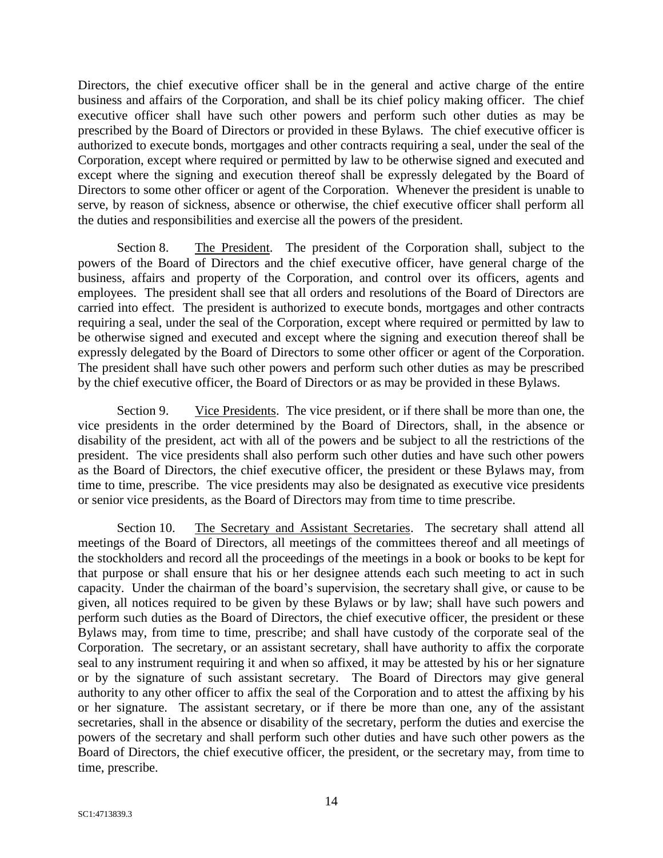Directors, the chief executive officer shall be in the general and active charge of the entire business and affairs of the Corporation, and shall be its chief policy making officer. The chief executive officer shall have such other powers and perform such other duties as may be prescribed by the Board of Directors or provided in these Bylaws. The chief executive officer is authorized to execute bonds, mortgages and other contracts requiring a seal, under the seal of the Corporation, except where required or permitted by law to be otherwise signed and executed and except where the signing and execution thereof shall be expressly delegated by the Board of Directors to some other officer or agent of the Corporation. Whenever the president is unable to serve, by reason of sickness, absence or otherwise, the chief executive officer shall perform all the duties and responsibilities and exercise all the powers of the president.

Section 8. The President. The president of the Corporation shall, subject to the powers of the Board of Directors and the chief executive officer, have general charge of the business, affairs and property of the Corporation, and control over its officers, agents and employees. The president shall see that all orders and resolutions of the Board of Directors are carried into effect. The president is authorized to execute bonds, mortgages and other contracts requiring a seal, under the seal of the Corporation, except where required or permitted by law to be otherwise signed and executed and except where the signing and execution thereof shall be expressly delegated by the Board of Directors to some other officer or agent of the Corporation. The president shall have such other powers and perform such other duties as may be prescribed by the chief executive officer, the Board of Directors or as may be provided in these Bylaws.

Section 9. Vice Presidents. The vice president, or if there shall be more than one, the vice presidents in the order determined by the Board of Directors, shall, in the absence or disability of the president, act with all of the powers and be subject to all the restrictions of the president. The vice presidents shall also perform such other duties and have such other powers as the Board of Directors, the chief executive officer, the president or these Bylaws may, from time to time, prescribe. The vice presidents may also be designated as executive vice presidents or senior vice presidents, as the Board of Directors may from time to time prescribe.

Section 10. The Secretary and Assistant Secretaries. The secretary shall attend all meetings of the Board of Directors, all meetings of the committees thereof and all meetings of the stockholders and record all the proceedings of the meetings in a book or books to be kept for that purpose or shall ensure that his or her designee attends each such meeting to act in such capacity. Under the chairman of the board's supervision, the secretary shall give, or cause to be given, all notices required to be given by these Bylaws or by law; shall have such powers and perform such duties as the Board of Directors, the chief executive officer, the president or these Bylaws may, from time to time, prescribe; and shall have custody of the corporate seal of the Corporation. The secretary, or an assistant secretary, shall have authority to affix the corporate seal to any instrument requiring it and when so affixed, it may be attested by his or her signature or by the signature of such assistant secretary. The Board of Directors may give general authority to any other officer to affix the seal of the Corporation and to attest the affixing by his or her signature. The assistant secretary, or if there be more than one, any of the assistant secretaries, shall in the absence or disability of the secretary, perform the duties and exercise the powers of the secretary and shall perform such other duties and have such other powers as the Board of Directors, the chief executive officer, the president, or the secretary may, from time to time, prescribe.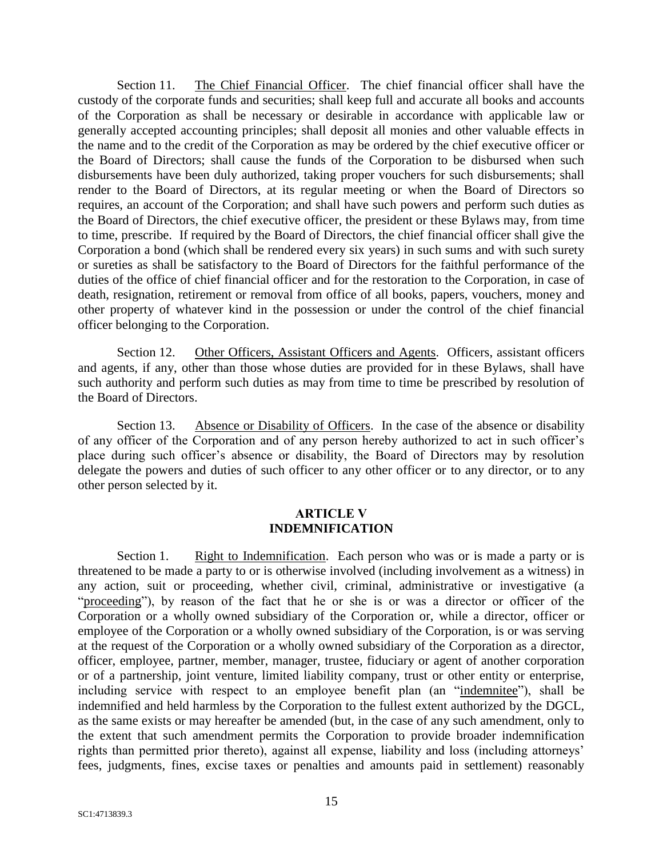Section 11. The Chief Financial Officer. The chief financial officer shall have the custody of the corporate funds and securities; shall keep full and accurate all books and accounts of the Corporation as shall be necessary or desirable in accordance with applicable law or generally accepted accounting principles; shall deposit all monies and other valuable effects in the name and to the credit of the Corporation as may be ordered by the chief executive officer or the Board of Directors; shall cause the funds of the Corporation to be disbursed when such disbursements have been duly authorized, taking proper vouchers for such disbursements; shall render to the Board of Directors, at its regular meeting or when the Board of Directors so requires, an account of the Corporation; and shall have such powers and perform such duties as the Board of Directors, the chief executive officer, the president or these Bylaws may, from time to time, prescribe. If required by the Board of Directors, the chief financial officer shall give the Corporation a bond (which shall be rendered every six years) in such sums and with such surety or sureties as shall be satisfactory to the Board of Directors for the faithful performance of the duties of the office of chief financial officer and for the restoration to the Corporation, in case of death, resignation, retirement or removal from office of all books, papers, vouchers, money and other property of whatever kind in the possession or under the control of the chief financial officer belonging to the Corporation.

Section 12. Other Officers, Assistant Officers and Agents. Officers, assistant officers and agents, if any, other than those whose duties are provided for in these Bylaws, shall have such authority and perform such duties as may from time to time be prescribed by resolution of the Board of Directors.

Section 13. Absence or Disability of Officers. In the case of the absence or disability of any officer of the Corporation and of any person hereby authorized to act in such officer's place during such officer's absence or disability, the Board of Directors may by resolution delegate the powers and duties of such officer to any other officer or to any director, or to any other person selected by it.

### **ARTICLE V INDEMNIFICATION**

Section 1. Right to Indemnification. Each person who was or is made a party or is threatened to be made a party to or is otherwise involved (including involvement as a witness) in any action, suit or proceeding, whether civil, criminal, administrative or investigative (a "proceeding"), by reason of the fact that he or she is or was a director or officer of the Corporation or a wholly owned subsidiary of the Corporation or, while a director, officer or employee of the Corporation or a wholly owned subsidiary of the Corporation, is or was serving at the request of the Corporation or a wholly owned subsidiary of the Corporation as a director, officer, employee, partner, member, manager, trustee, fiduciary or agent of another corporation or of a partnership, joint venture, limited liability company, trust or other entity or enterprise, including service with respect to an employee benefit plan (an "indemnitee"), shall be indemnified and held harmless by the Corporation to the fullest extent authorized by the DGCL, as the same exists or may hereafter be amended (but, in the case of any such amendment, only to the extent that such amendment permits the Corporation to provide broader indemnification rights than permitted prior thereto), against all expense, liability and loss (including attorneys' fees, judgments, fines, excise taxes or penalties and amounts paid in settlement) reasonably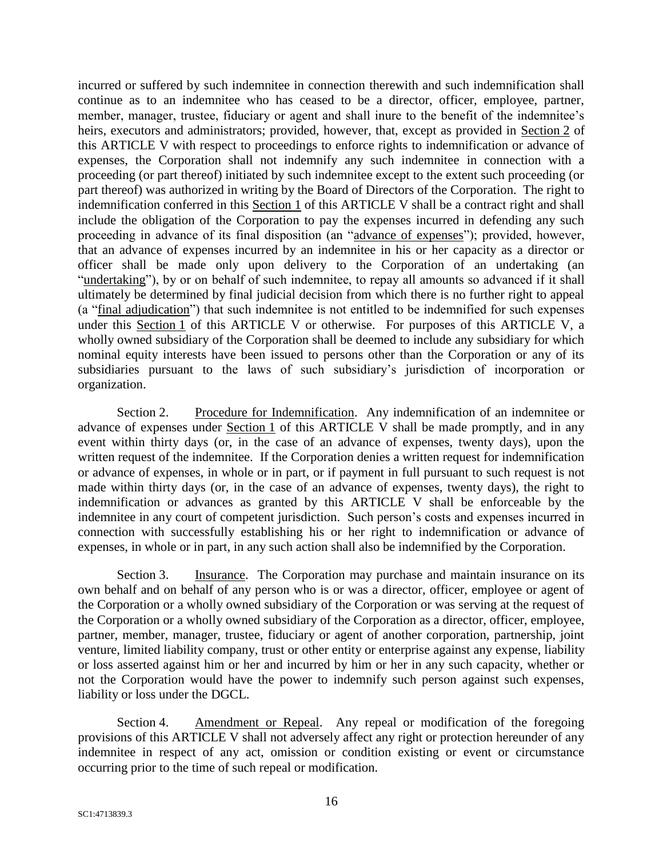incurred or suffered by such indemnitee in connection therewith and such indemnification shall continue as to an indemnitee who has ceased to be a director, officer, employee, partner, member, manager, trustee, fiduciary or agent and shall inure to the benefit of the indemnitee's heirs, executors and administrators; provided, however, that, except as provided in Section 2 of this ARTICLE V with respect to proceedings to enforce rights to indemnification or advance of expenses, the Corporation shall not indemnify any such indemnitee in connection with a proceeding (or part thereof) initiated by such indemnitee except to the extent such proceeding (or part thereof) was authorized in writing by the Board of Directors of the Corporation. The right to indemnification conferred in this Section 1 of this ARTICLE V shall be a contract right and shall include the obligation of the Corporation to pay the expenses incurred in defending any such proceeding in advance of its final disposition (an "advance of expenses"); provided, however, that an advance of expenses incurred by an indemnitee in his or her capacity as a director or officer shall be made only upon delivery to the Corporation of an undertaking (an "undertaking"), by or on behalf of such indemnitee, to repay all amounts so advanced if it shall ultimately be determined by final judicial decision from which there is no further right to appeal (a "final adjudication") that such indemnitee is not entitled to be indemnified for such expenses under this Section 1 of this ARTICLE V or otherwise. For purposes of this ARTICLE V, a wholly owned subsidiary of the Corporation shall be deemed to include any subsidiary for which nominal equity interests have been issued to persons other than the Corporation or any of its subsidiaries pursuant to the laws of such subsidiary's jurisdiction of incorporation or organization.

Section 2. Procedure for Indemnification. Any indemnification of an indemnitee or advance of expenses under Section 1 of this ARTICLE V shall be made promptly, and in any event within thirty days (or, in the case of an advance of expenses, twenty days), upon the written request of the indemnitee. If the Corporation denies a written request for indemnification or advance of expenses, in whole or in part, or if payment in full pursuant to such request is not made within thirty days (or, in the case of an advance of expenses, twenty days), the right to indemnification or advances as granted by this ARTICLE V shall be enforceable by the indemnitee in any court of competent jurisdiction. Such person's costs and expenses incurred in connection with successfully establishing his or her right to indemnification or advance of expenses, in whole or in part, in any such action shall also be indemnified by the Corporation.

Section 3. Insurance. The Corporation may purchase and maintain insurance on its own behalf and on behalf of any person who is or was a director, officer, employee or agent of the Corporation or a wholly owned subsidiary of the Corporation or was serving at the request of the Corporation or a wholly owned subsidiary of the Corporation as a director, officer, employee, partner, member, manager, trustee, fiduciary or agent of another corporation, partnership, joint venture, limited liability company, trust or other entity or enterprise against any expense, liability or loss asserted against him or her and incurred by him or her in any such capacity, whether or not the Corporation would have the power to indemnify such person against such expenses, liability or loss under the DGCL.

Section 4. Amendment or Repeal. Any repeal or modification of the foregoing provisions of this ARTICLE V shall not adversely affect any right or protection hereunder of any indemnitee in respect of any act, omission or condition existing or event or circumstance occurring prior to the time of such repeal or modification.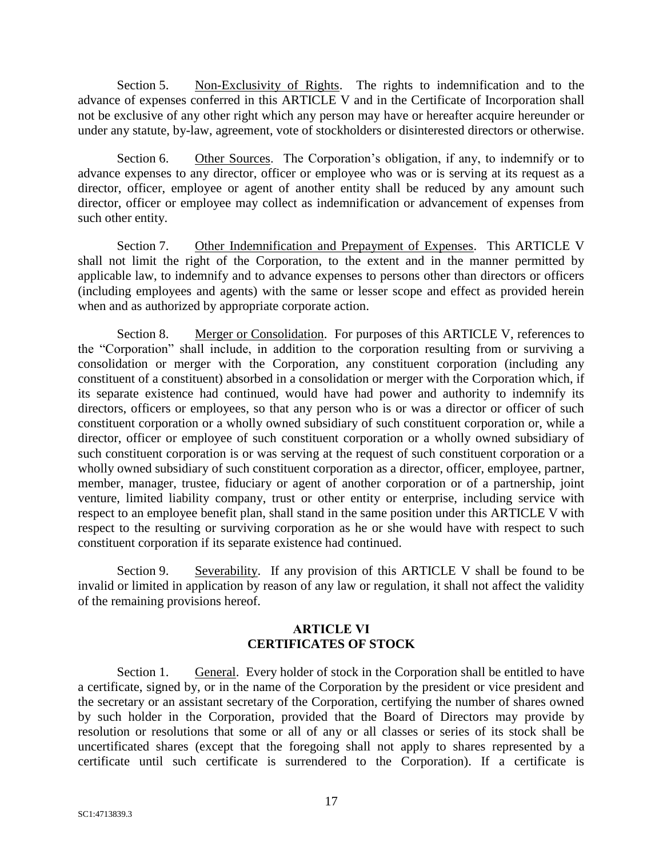Section 5. Non-Exclusivity of Rights. The rights to indemnification and to the advance of expenses conferred in this ARTICLE V and in the Certificate of Incorporation shall not be exclusive of any other right which any person may have or hereafter acquire hereunder or under any statute, by-law, agreement, vote of stockholders or disinterested directors or otherwise.

Section 6. Other Sources. The Corporation's obligation, if any, to indemnify or to advance expenses to any director, officer or employee who was or is serving at its request as a director, officer, employee or agent of another entity shall be reduced by any amount such director, officer or employee may collect as indemnification or advancement of expenses from such other entity.

Section 7. Other Indemnification and Prepayment of Expenses. This ARTICLE V shall not limit the right of the Corporation, to the extent and in the manner permitted by applicable law, to indemnify and to advance expenses to persons other than directors or officers (including employees and agents) with the same or lesser scope and effect as provided herein when and as authorized by appropriate corporate action.

Section 8. Merger or Consolidation. For purposes of this ARTICLE V, references to the "Corporation" shall include, in addition to the corporation resulting from or surviving a consolidation or merger with the Corporation, any constituent corporation (including any constituent of a constituent) absorbed in a consolidation or merger with the Corporation which, if its separate existence had continued, would have had power and authority to indemnify its directors, officers or employees, so that any person who is or was a director or officer of such constituent corporation or a wholly owned subsidiary of such constituent corporation or, while a director, officer or employee of such constituent corporation or a wholly owned subsidiary of such constituent corporation is or was serving at the request of such constituent corporation or a wholly owned subsidiary of such constituent corporation as a director, officer, employee, partner, member, manager, trustee, fiduciary or agent of another corporation or of a partnership, joint venture, limited liability company, trust or other entity or enterprise, including service with respect to an employee benefit plan, shall stand in the same position under this ARTICLE V with respect to the resulting or surviving corporation as he or she would have with respect to such constituent corporation if its separate existence had continued.

Section 9. Severability. If any provision of this ARTICLE V shall be found to be invalid or limited in application by reason of any law or regulation, it shall not affect the validity of the remaining provisions hereof.

# **ARTICLE VI CERTIFICATES OF STOCK**

Section 1. General. Every holder of stock in the Corporation shall be entitled to have a certificate, signed by, or in the name of the Corporation by the president or vice president and the secretary or an assistant secretary of the Corporation, certifying the number of shares owned by such holder in the Corporation, provided that the Board of Directors may provide by resolution or resolutions that some or all of any or all classes or series of its stock shall be uncertificated shares (except that the foregoing shall not apply to shares represented by a certificate until such certificate is surrendered to the Corporation). If a certificate is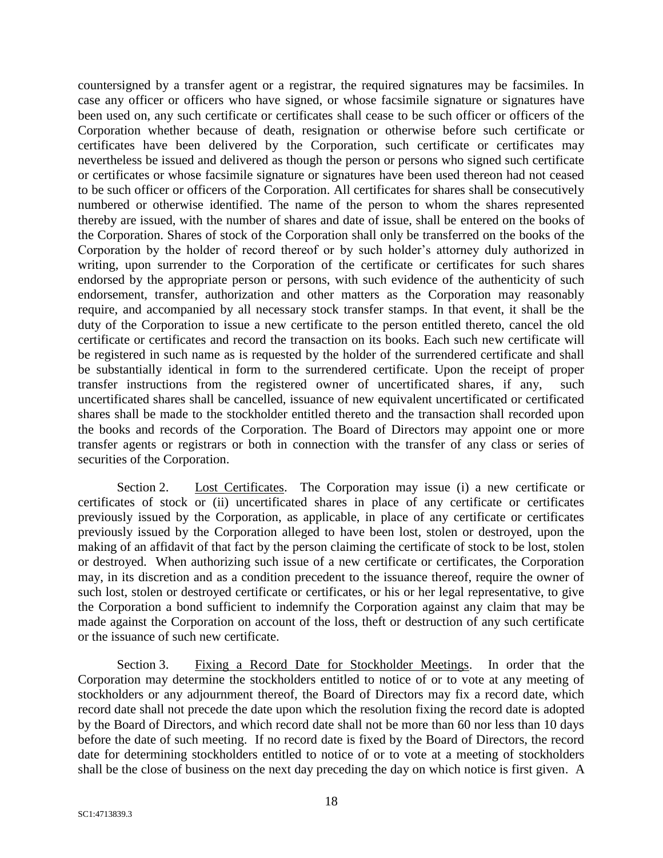countersigned by a transfer agent or a registrar, the required signatures may be facsimiles. In case any officer or officers who have signed, or whose facsimile signature or signatures have been used on, any such certificate or certificates shall cease to be such officer or officers of the Corporation whether because of death, resignation or otherwise before such certificate or certificates have been delivered by the Corporation, such certificate or certificates may nevertheless be issued and delivered as though the person or persons who signed such certificate or certificates or whose facsimile signature or signatures have been used thereon had not ceased to be such officer or officers of the Corporation. All certificates for shares shall be consecutively numbered or otherwise identified. The name of the person to whom the shares represented thereby are issued, with the number of shares and date of issue, shall be entered on the books of the Corporation. Shares of stock of the Corporation shall only be transferred on the books of the Corporation by the holder of record thereof or by such holder's attorney duly authorized in writing, upon surrender to the Corporation of the certificate or certificates for such shares endorsed by the appropriate person or persons, with such evidence of the authenticity of such endorsement, transfer, authorization and other matters as the Corporation may reasonably require, and accompanied by all necessary stock transfer stamps. In that event, it shall be the duty of the Corporation to issue a new certificate to the person entitled thereto, cancel the old certificate or certificates and record the transaction on its books. Each such new certificate will be registered in such name as is requested by the holder of the surrendered certificate and shall be substantially identical in form to the surrendered certificate. Upon the receipt of proper transfer instructions from the registered owner of uncertificated shares, if any, such uncertificated shares shall be cancelled, issuance of new equivalent uncertificated or certificated shares shall be made to the stockholder entitled thereto and the transaction shall recorded upon the books and records of the Corporation. The Board of Directors may appoint one or more transfer agents or registrars or both in connection with the transfer of any class or series of securities of the Corporation.

Section 2. Lost Certificates. The Corporation may issue (i) a new certificate or certificates of stock or (ii) uncertificated shares in place of any certificate or certificates previously issued by the Corporation, as applicable, in place of any certificate or certificates previously issued by the Corporation alleged to have been lost, stolen or destroyed, upon the making of an affidavit of that fact by the person claiming the certificate of stock to be lost, stolen or destroyed. When authorizing such issue of a new certificate or certificates, the Corporation may, in its discretion and as a condition precedent to the issuance thereof, require the owner of such lost, stolen or destroyed certificate or certificates, or his or her legal representative, to give the Corporation a bond sufficient to indemnify the Corporation against any claim that may be made against the Corporation on account of the loss, theft or destruction of any such certificate or the issuance of such new certificate.

Section 3. Fixing a Record Date for Stockholder Meetings. In order that the Corporation may determine the stockholders entitled to notice of or to vote at any meeting of stockholders or any adjournment thereof, the Board of Directors may fix a record date, which record date shall not precede the date upon which the resolution fixing the record date is adopted by the Board of Directors, and which record date shall not be more than 60 nor less than 10 days before the date of such meeting. If no record date is fixed by the Board of Directors, the record date for determining stockholders entitled to notice of or to vote at a meeting of stockholders shall be the close of business on the next day preceding the day on which notice is first given. A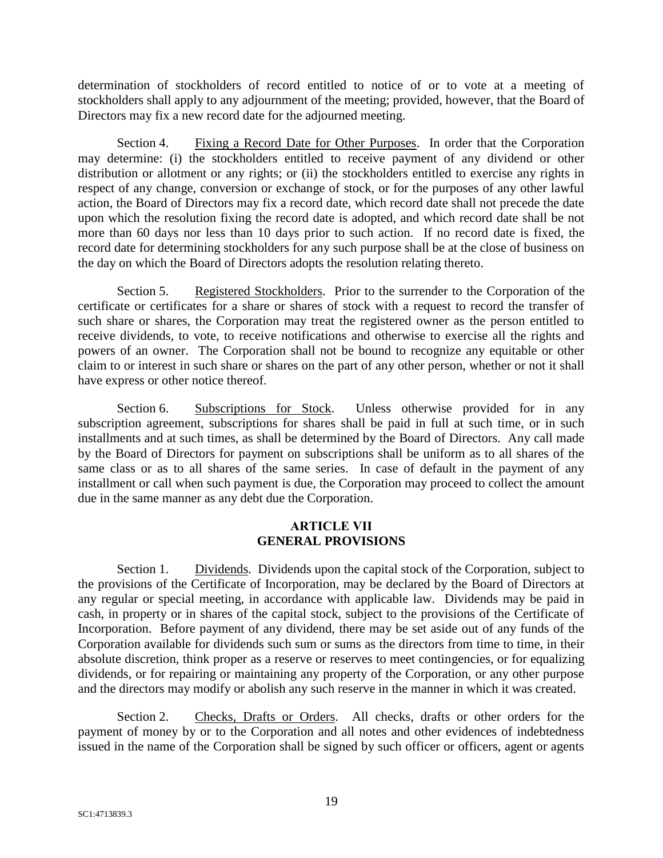determination of stockholders of record entitled to notice of or to vote at a meeting of stockholders shall apply to any adjournment of the meeting; provided, however, that the Board of Directors may fix a new record date for the adjourned meeting.

Section 4. Fixing a Record Date for Other Purposes. In order that the Corporation may determine: (i) the stockholders entitled to receive payment of any dividend or other distribution or allotment or any rights; or (ii) the stockholders entitled to exercise any rights in respect of any change, conversion or exchange of stock, or for the purposes of any other lawful action, the Board of Directors may fix a record date, which record date shall not precede the date upon which the resolution fixing the record date is adopted, and which record date shall be not more than 60 days nor less than 10 days prior to such action. If no record date is fixed, the record date for determining stockholders for any such purpose shall be at the close of business on the day on which the Board of Directors adopts the resolution relating thereto.

Section 5. Registered Stockholders. Prior to the surrender to the Corporation of the certificate or certificates for a share or shares of stock with a request to record the transfer of such share or shares, the Corporation may treat the registered owner as the person entitled to receive dividends, to vote, to receive notifications and otherwise to exercise all the rights and powers of an owner. The Corporation shall not be bound to recognize any equitable or other claim to or interest in such share or shares on the part of any other person, whether or not it shall have express or other notice thereof.

Section 6. Subscriptions for Stock. Unless otherwise provided for in any subscription agreement, subscriptions for shares shall be paid in full at such time, or in such installments and at such times, as shall be determined by the Board of Directors. Any call made by the Board of Directors for payment on subscriptions shall be uniform as to all shares of the same class or as to all shares of the same series. In case of default in the payment of any installment or call when such payment is due, the Corporation may proceed to collect the amount due in the same manner as any debt due the Corporation.

# **ARTICLE VII GENERAL PROVISIONS**

Section 1. Dividends. Dividends upon the capital stock of the Corporation, subject to the provisions of the Certificate of Incorporation, may be declared by the Board of Directors at any regular or special meeting, in accordance with applicable law. Dividends may be paid in cash, in property or in shares of the capital stock, subject to the provisions of the Certificate of Incorporation. Before payment of any dividend, there may be set aside out of any funds of the Corporation available for dividends such sum or sums as the directors from time to time, in their absolute discretion, think proper as a reserve or reserves to meet contingencies, or for equalizing dividends, or for repairing or maintaining any property of the Corporation, or any other purpose and the directors may modify or abolish any such reserve in the manner in which it was created.

Section 2. Checks, Drafts or Orders. All checks, drafts or other orders for the payment of money by or to the Corporation and all notes and other evidences of indebtedness issued in the name of the Corporation shall be signed by such officer or officers, agent or agents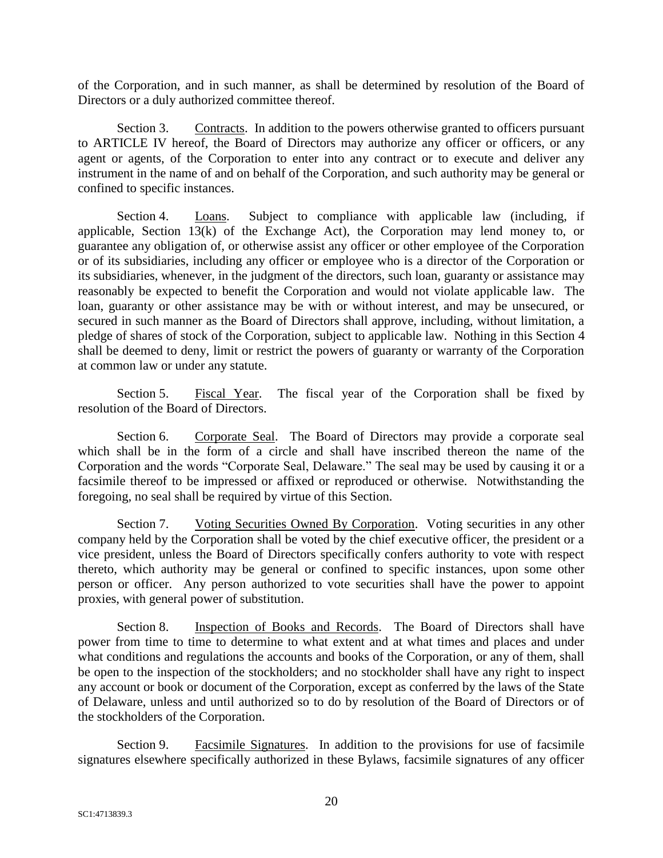of the Corporation, and in such manner, as shall be determined by resolution of the Board of Directors or a duly authorized committee thereof.

Section 3. Contracts. In addition to the powers otherwise granted to officers pursuant to ARTICLE IV hereof, the Board of Directors may authorize any officer or officers, or any agent or agents, of the Corporation to enter into any contract or to execute and deliver any instrument in the name of and on behalf of the Corporation, and such authority may be general or confined to specific instances.

Section 4. Loans. Subject to compliance with applicable law (including, if applicable, Section 13(k) of the Exchange Act), the Corporation may lend money to, or guarantee any obligation of, or otherwise assist any officer or other employee of the Corporation or of its subsidiaries, including any officer or employee who is a director of the Corporation or its subsidiaries, whenever, in the judgment of the directors, such loan, guaranty or assistance may reasonably be expected to benefit the Corporation and would not violate applicable law. The loan, guaranty or other assistance may be with or without interest, and may be unsecured, or secured in such manner as the Board of Directors shall approve, including, without limitation, a pledge of shares of stock of the Corporation, subject to applicable law. Nothing in this Section 4 shall be deemed to deny, limit or restrict the powers of guaranty or warranty of the Corporation at common law or under any statute.

Section 5. Fiscal Year. The fiscal year of the Corporation shall be fixed by resolution of the Board of Directors.

Section 6. Corporate Seal. The Board of Directors may provide a corporate seal which shall be in the form of a circle and shall have inscribed thereon the name of the Corporation and the words "Corporate Seal, Delaware." The seal may be used by causing it or a facsimile thereof to be impressed or affixed or reproduced or otherwise. Notwithstanding the foregoing, no seal shall be required by virtue of this Section.

Section 7. Voting Securities Owned By Corporation. Voting securities in any other company held by the Corporation shall be voted by the chief executive officer, the president or a vice president, unless the Board of Directors specifically confers authority to vote with respect thereto, which authority may be general or confined to specific instances, upon some other person or officer. Any person authorized to vote securities shall have the power to appoint proxies, with general power of substitution.

Section 8. Inspection of Books and Records. The Board of Directors shall have power from time to time to determine to what extent and at what times and places and under what conditions and regulations the accounts and books of the Corporation, or any of them, shall be open to the inspection of the stockholders; and no stockholder shall have any right to inspect any account or book or document of the Corporation, except as conferred by the laws of the State of Delaware, unless and until authorized so to do by resolution of the Board of Directors or of the stockholders of the Corporation.

Section 9. Facsimile Signatures. In addition to the provisions for use of facsimile signatures elsewhere specifically authorized in these Bylaws, facsimile signatures of any officer